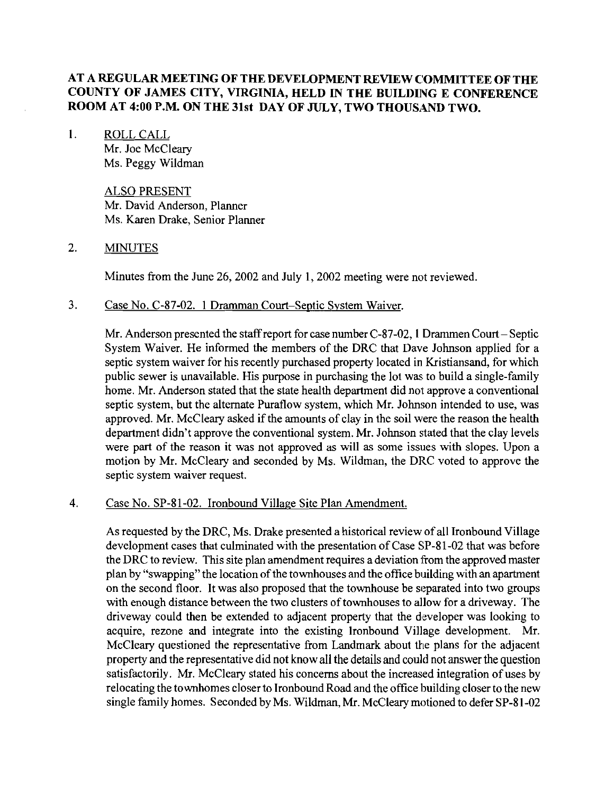# **AT A REGULAR MEETING OF THE DEVELOPMENT REVIEW COMMITTEE OF THE COUNTY OF JAMES CITY, VIRGINIA, HELD IN THE BUILDING E CONFERENCE ROOM AT 4:00 P.M. ON THE 31st DAY OF JULY, TWO THOUSAND TWO.**

1. ROLL CALL Mr. Joe McCleary Ms. Peggy Wildman

> ALSO PRESENT Mr. David Anderson, Planner Ms. Karen Drake, Senior Planner

## 2. MINUTES

Minutes from the June 26,2002 and July 1,2002 meeting were not reviewed.

## **3.** Case No. C-87-02. 1 Dramman Court-Septic Svstem Waiver.

Mr. Anderson presented the staff report for case number  $C-87-02$ , 1 Drammen Court-Septic System Waiver. He informed the members of the DRC that Dave Johnson applied for a septic system waiver for his recently purchased property located in Kristiansand, for which public sewer is unavailable. His purpose in purchasing the lot was to build a single-family home. Mr. Anderson stated that the state health department did not approve a conventional septic system, but the alternate Puraflow system, which Mr. Johnson intended to use, was approved. Mr. McCleary asked if the amounts of clay in the soil were the reason the health department didn't approve the conventional system. Mr. Johnson stated that the clay levels were part of the reason it was not approved as will as some issues with slopes. Upon a motion by Mr. McCleary and seconded by Ms. Wildman, the DRC voted to approve the septic system waiver request.

#### 4. Case No. SP-81-02. Ironbound Village Site Plan Amendment.

As requested by the DRC, Ms. Drake presented a historical review of all Ironbound Village development cases that culminated with the presentation of Case SP-81-02 that was before the DRC to review. This site plan amendment requires a deviation from the approved master plan by "swapping" the location of the townhouses and the office building with an apartment on the second floor. It was also proposed that the townhouse be separated into two groups with enough distance between the two clusters of townhouses to allow for a driveway. The driveway could then be extended to adjacent property that the developer was looking to acquire, rezone and integrate into the existing lronbound Village development. Mr. McCleary questioned the representative from Landmark about the plans for the adjacent property and the representative did not know all the details and could not answer the question satisfactorily. Mr. McCleary stated his concerns about the increased integration of uses by relocating the townhomes closer to Ironbound Road and the office building closer to the new single family homes. Seconded by Ms. Wildman, Mr. McClearymotioned to defer SP-81-02